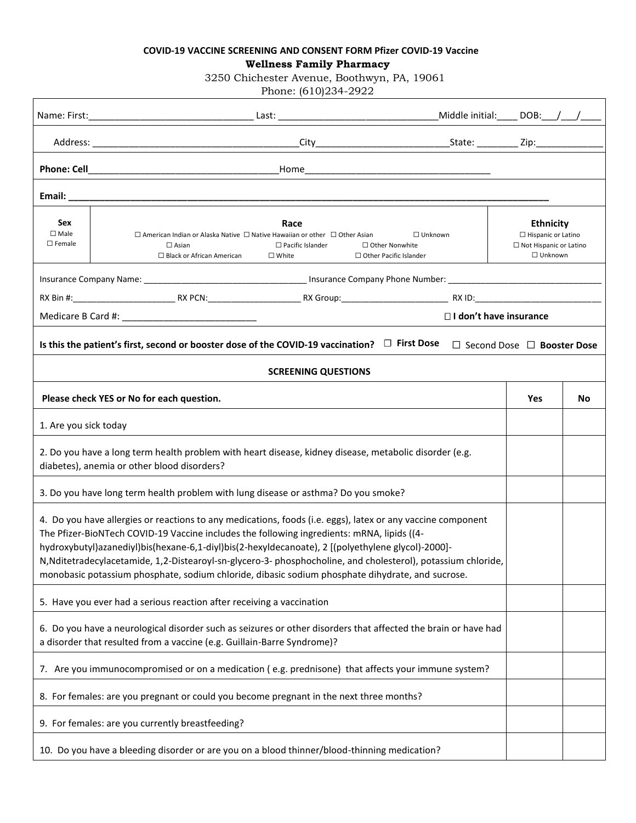## **COVID-19 VACCINE SCREENING AND CONSENT FORM PFIZER COVID-19 Vaccine Wellness Family Pharmacy**

3250 Chichester Avenue, Boothwyn, PA, 19061

Phone: (610)234-2922

| Sex<br>$\square$ Male<br>$\square$ Female | Race<br>$\Box$ American Indian or Alaska Native $\Box$ Native Hawaiian or other $\Box$ Other Asian<br>$\Box$ Unknown<br>$\Box$ Asian<br>$\Box$ Pacific Islander<br>$\Box$ Other Nonwhite<br>$\Box$ Black or African American<br>$\square$ White<br>$\Box$ Other Pacific Islander                                                                                                                                                                                                                                                   |  |          | <b>Ethnicity</b><br>$\Box$ Hispanic or Latino<br>□ Not Hispanic or Latino<br>$\Box$ Unknown |  |
|-------------------------------------------|------------------------------------------------------------------------------------------------------------------------------------------------------------------------------------------------------------------------------------------------------------------------------------------------------------------------------------------------------------------------------------------------------------------------------------------------------------------------------------------------------------------------------------|--|----------|---------------------------------------------------------------------------------------------|--|
|                                           |                                                                                                                                                                                                                                                                                                                                                                                                                                                                                                                                    |  |          |                                                                                             |  |
|                                           |                                                                                                                                                                                                                                                                                                                                                                                                                                                                                                                                    |  |          |                                                                                             |  |
|                                           | □ I don't have insurance                                                                                                                                                                                                                                                                                                                                                                                                                                                                                                           |  |          |                                                                                             |  |
|                                           | Is this the patient's first, second or booster dose of the COVID-19 vaccination? $\Box$ 1st Dose $\Box$ 2nd Dose                                                                                                                                                                                                                                                                                                                                                                                                                   |  | 3rd Dose | 4th Dose                                                                                    |  |
|                                           | <b>SCREENING QUESTIONS</b>                                                                                                                                                                                                                                                                                                                                                                                                                                                                                                         |  |          |                                                                                             |  |
|                                           | Please check YES or No for each question.                                                                                                                                                                                                                                                                                                                                                                                                                                                                                          |  | Yes      | No                                                                                          |  |
| 1. Are you sick today?                    |                                                                                                                                                                                                                                                                                                                                                                                                                                                                                                                                    |  |          |                                                                                             |  |
|                                           | 2. Do you have a long term health problem with heart disease, kidney disease, metabolic disorder (e.g.<br>diabetes), anemia or other blood disorders?                                                                                                                                                                                                                                                                                                                                                                              |  |          |                                                                                             |  |
|                                           | 3. Do you have long term health problem with lung disease or asthma? Do you smoke?                                                                                                                                                                                                                                                                                                                                                                                                                                                 |  |          |                                                                                             |  |
|                                           | 4. Do you have allergies or reactions to any medications, foods (i.e. eggs), latex or any vaccine component<br>The Pfizer-BioNTech COVID-19 Vaccine includes the following ingredients: mRNA, lipids ((4-<br>hydroxybutyl)azanediyl)bis(hexane-6,1-diyl)bis(2-hexyldecanoate), 2 [(polyethylene glycol)-2000]-<br>N, Nditetradecylacetamide, 1,2-Distearoyl-sn-glycero-3-phosphocholine, and cholesterol), potassium chloride,<br>monobasic potassium phosphate, sodium chloride, dibasic sodium phosphate dihydrate, and sucrose. |  |          |                                                                                             |  |
|                                           | 5. Have you ever had a serious reaction after receiving a vaccination?                                                                                                                                                                                                                                                                                                                                                                                                                                                             |  |          |                                                                                             |  |
|                                           | 6. Do you have a neurological disorder such as seizures or other disorders that affected the brain or have had<br>a disorder that resulted from a vaccine (e.g. Guillain-Barre Syndrome)?                                                                                                                                                                                                                                                                                                                                          |  |          |                                                                                             |  |
|                                           | 7. Are you immunocompromised or on a medication (e.g. prednisone) that affects your immune system?                                                                                                                                                                                                                                                                                                                                                                                                                                 |  |          |                                                                                             |  |
|                                           | 8. For females: are you pregnant or could you become pregnant in the next three months?                                                                                                                                                                                                                                                                                                                                                                                                                                            |  |          |                                                                                             |  |
|                                           | 9. For females: are you currently breastfeeding?                                                                                                                                                                                                                                                                                                                                                                                                                                                                                   |  |          |                                                                                             |  |
|                                           | 10. Do you have a bleeding disorder or are you on a blood thinner/blood-thinning medication?                                                                                                                                                                                                                                                                                                                                                                                                                                       |  |          |                                                                                             |  |